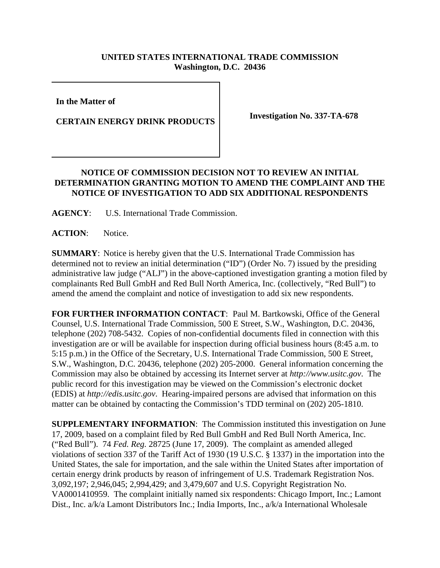## **UNITED STATES INTERNATIONAL TRADE COMMISSION Washington, D.C. 20436**

**In the Matter of** 

**CERTAIN ENERGY DRINK PRODUCTS Investigation No. 337-TA-678** 

## **NOTICE OF COMMISSION DECISION NOT TO REVIEW AN INITIAL DETERMINATION GRANTING MOTION TO AMEND THE COMPLAINT AND THE NOTICE OF INVESTIGATION TO ADD SIX ADDITIONAL RESPONDENTS**

**AGENCY**: U.S. International Trade Commission.

**ACTION**: Notice.

**SUMMARY**: Notice is hereby given that the U.S. International Trade Commission has determined not to review an initial determination ("ID") (Order No. 7) issued by the presiding administrative law judge ("ALJ") in the above-captioned investigation granting a motion filed by complainants Red Bull GmbH and Red Bull North America, Inc. (collectively, "Red Bull") to amend the amend the complaint and notice of investigation to add six new respondents.

**FOR FURTHER INFORMATION CONTACT**: Paul M. Bartkowski, Office of the General Counsel, U.S. International Trade Commission, 500 E Street, S.W., Washington, D.C. 20436, telephone (202) 708-5432. Copies of non-confidential documents filed in connection with this investigation are or will be available for inspection during official business hours (8:45 a.m. to 5:15 p.m.) in the Office of the Secretary, U.S. International Trade Commission, 500 E Street, S.W., Washington, D.C. 20436, telephone (202) 205-2000. General information concerning the Commission may also be obtained by accessing its Internet server at *http://www.usitc.gov*. The public record for this investigation may be viewed on the Commission's electronic docket (EDIS) at *http://edis.usitc.gov*. Hearing-impaired persons are advised that information on this matter can be obtained by contacting the Commission's TDD terminal on (202) 205-1810.

**SUPPLEMENTARY INFORMATION**: The Commission instituted this investigation on June 17, 2009, based on a complaint filed by Red Bull GmbH and Red Bull North America, Inc. ("Red Bull"). 74 *Fed. Reg.* 28725 (June 17, 2009). The complaint as amended alleged violations of section 337 of the Tariff Act of 1930 (19 U.S.C. § 1337) in the importation into the United States, the sale for importation, and the sale within the United States after importation of certain energy drink products by reason of infringement of U.S. Trademark Registration Nos. 3,092,197; 2,946,045; 2,994,429; and 3,479,607 and U.S. Copyright Registration No. VA0001410959. The complaint initially named six respondents: Chicago Import, Inc.; Lamont Dist., Inc. a/k/a Lamont Distributors Inc.; India Imports, Inc., a/k/a International Wholesale